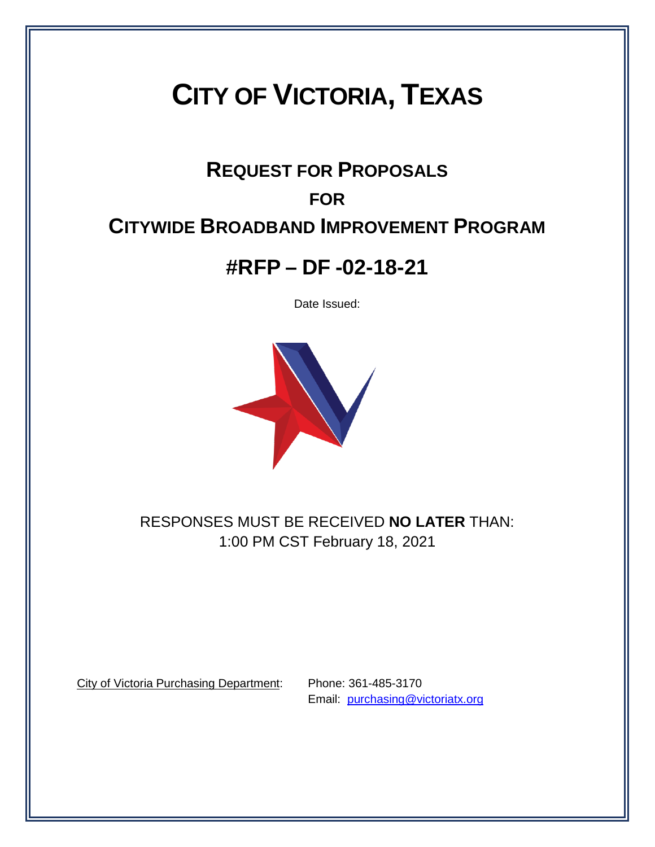# **CITY OF VICTORIA, TEXAS**

# **REQUEST FOR PROPOSALS FOR CITYWIDE BROADBAND IMPROVEMENT PROGRAM**

# **#RFP – DF -02-18-21**

Date Issued:



RESPONSES MUST BE RECEIVED **NO LATER** THAN: 1:00 PM CST February 18, 2021

City of Victoria Purchasing Department: Phone: 361-485-3170

Email: [purchasing@victoriatx.org](mailto:purchasing@victoriatx.org)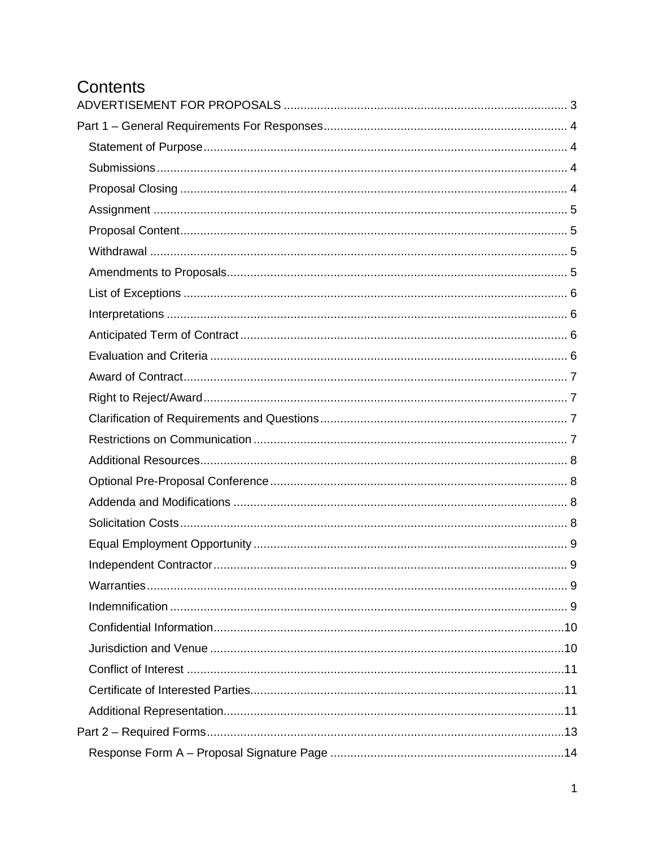# Contents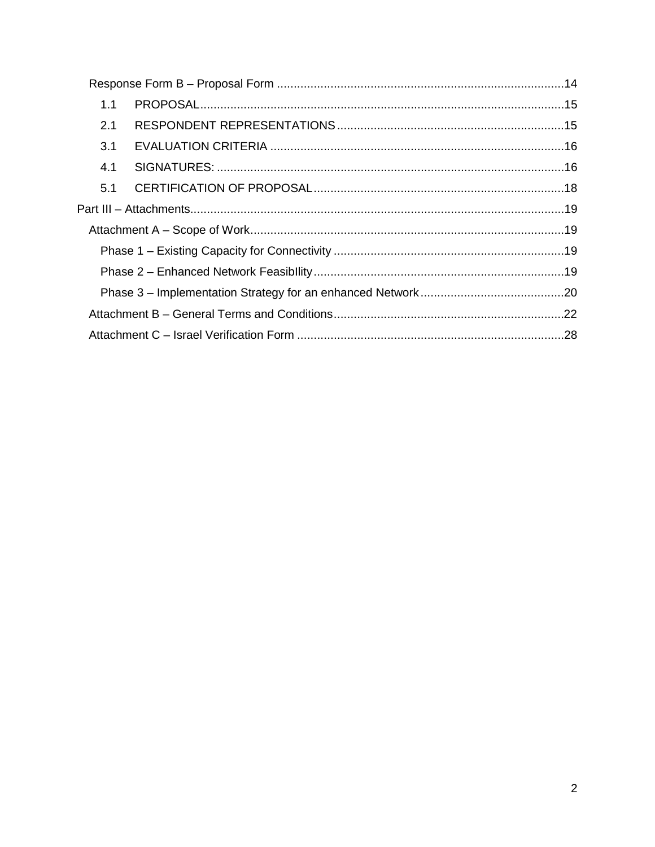| 1.1 |  |
|-----|--|
| 2.1 |  |
| 3.1 |  |
| 4.1 |  |
| 5.1 |  |
|     |  |
|     |  |
|     |  |
|     |  |
|     |  |
|     |  |
|     |  |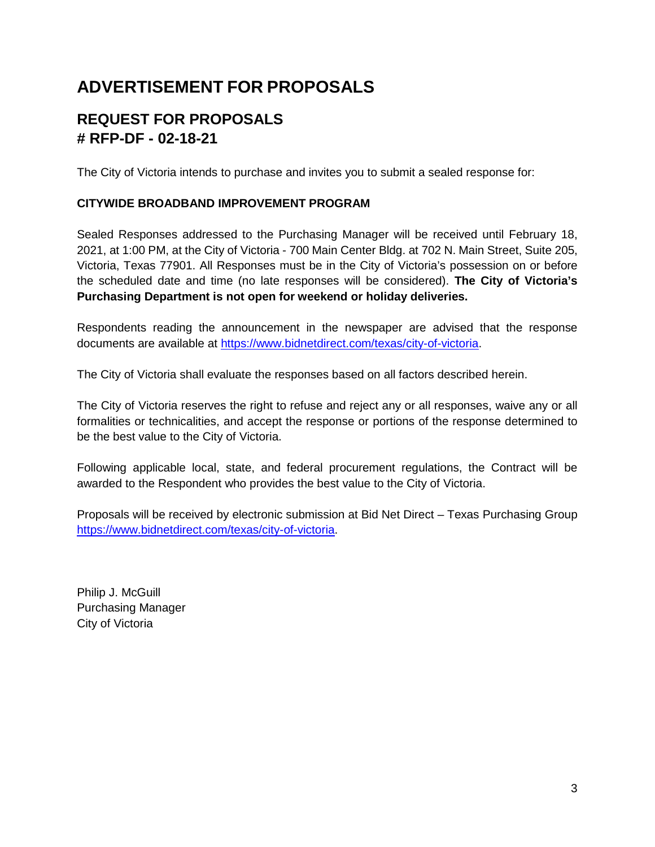# <span id="page-3-0"></span>**ADVERTISEMENT FOR PROPOSALS**

# **REQUEST FOR PROPOSALS # RFP-DF - 02-18-21**

The City of Victoria intends to purchase and invites you to submit a sealed response for:

#### **CITYWIDE BROADBAND IMPROVEMENT PROGRAM**

Sealed Responses addressed to the Purchasing Manager will be received until February 18, 2021, at 1:00 PM, at the City of Victoria - 700 Main Center Bldg. at 702 N. Main Street, Suite 205, Victoria, Texas 77901. All Responses must be in the City of Victoria's possession on or before the scheduled date and time (no late responses will be considered). **The City of Victoria's Purchasing Department is not open for weekend or holiday deliveries.**

Respondents reading the announcement in the newspaper are advised that the response documents are available at [https://www.bidnetdirect.com/texas/city-of-victoria.](https://www.bidnetdirect.com/texas/city-of-victoria)

The City of Victoria shall evaluate the responses based on all factors described herein.

The City of Victoria reserves the right to refuse and reject any or all responses, waive any or all formalities or technicalities, and accept the response or portions of the response determined to be the best value to the City of Victoria.

Following applicable local, state, and federal procurement regulations, the Contract will be awarded to the Respondent who provides the best value to the City of Victoria.

Proposals will be received by electronic submission at Bid Net Direct – Texas Purchasing Group [https://www.bidnetdirect.com/texas/city-of-victoria.](https://www.bidnetdirect.com/texas/city-of-victoria)

Philip J. McGuill Purchasing Manager City of Victoria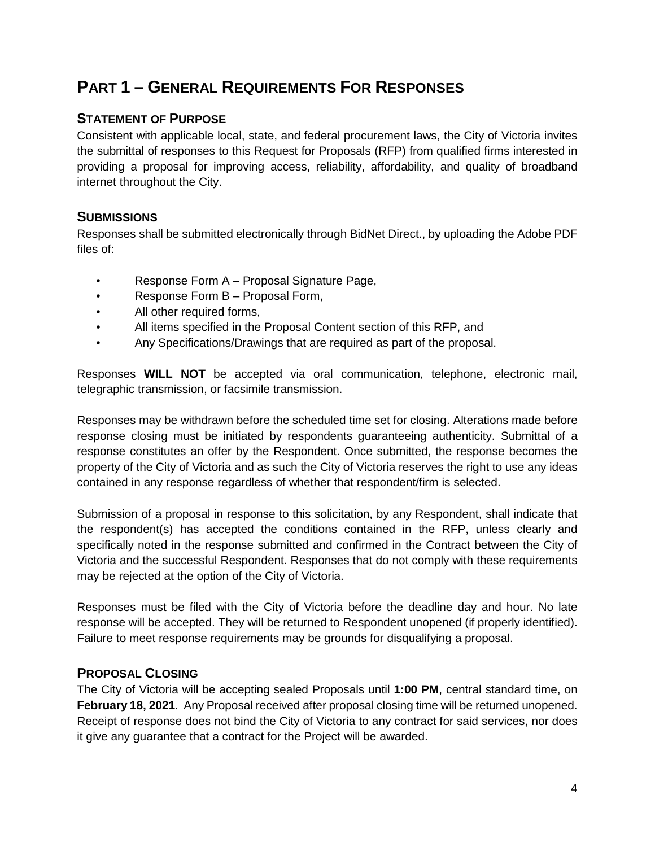# <span id="page-4-0"></span>**PART 1 – GENERAL REQUIREMENTS FOR RESPONSES**

# <span id="page-4-1"></span>**STATEMENT OF PURPOSE**

Consistent with applicable local, state, and federal procurement laws, the City of Victoria invites the submittal of responses to this Request for Proposals (RFP) from qualified firms interested in providing a proposal for improving access, reliability, affordability, and quality of broadband internet throughout the City.

# <span id="page-4-2"></span>**SUBMISSIONS**

Responses shall be submitted electronically through BidNet Direct., by uploading the Adobe PDF files of:

- Response Form A Proposal Signature Page,
- Response Form B Proposal Form,
- All other required forms,
- All items specified in the Proposal Content section of this RFP, and
- Any Specifications/Drawings that are required as part of the proposal.

Responses **WILL NOT** be accepted via oral communication, telephone, electronic mail, telegraphic transmission, or facsimile transmission.

Responses may be withdrawn before the scheduled time set for closing. Alterations made before response closing must be initiated by respondents guaranteeing authenticity. Submittal of a response constitutes an offer by the Respondent. Once submitted, the response becomes the property of the City of Victoria and as such the City of Victoria reserves the right to use any ideas contained in any response regardless of whether that respondent/firm is selected.

Submission of a proposal in response to this solicitation, by any Respondent, shall indicate that the respondent(s) has accepted the conditions contained in the RFP, unless clearly and specifically noted in the response submitted and confirmed in the Contract between the City of Victoria and the successful Respondent. Responses that do not comply with these requirements may be rejected at the option of the City of Victoria.

Responses must be filed with the City of Victoria before the deadline day and hour. No late response will be accepted. They will be returned to Respondent unopened (if properly identified). Failure to meet response requirements may be grounds for disqualifying a proposal.

# <span id="page-4-3"></span>**PROPOSAL CLOSING**

The City of Victoria will be accepting sealed Proposals until **1:00 PM**, central standard time, on **February 18, 2021**. Any Proposal received after proposal closing time will be returned unopened. Receipt of response does not bind the City of Victoria to any contract for said services, nor does it give any guarantee that a contract for the Project will be awarded.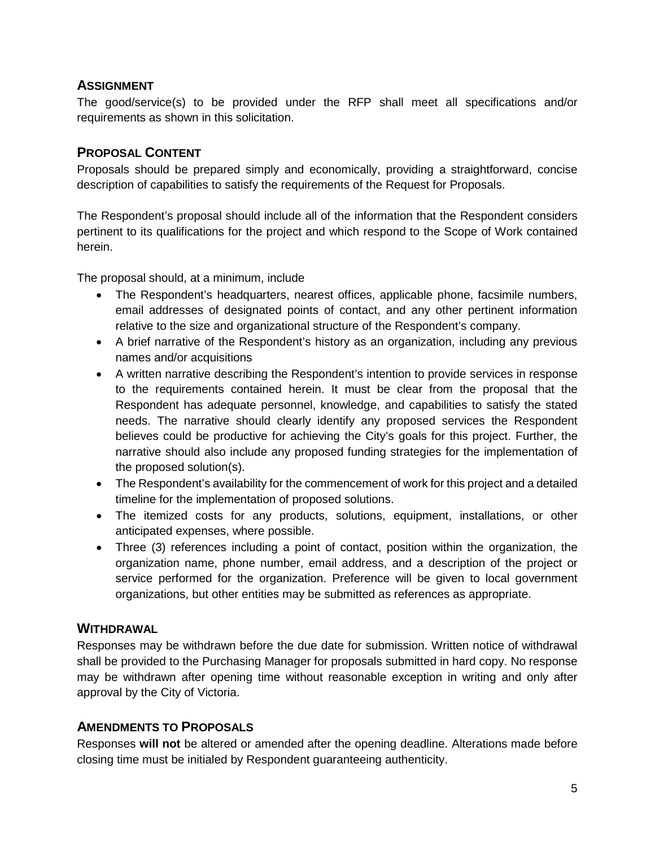# <span id="page-5-0"></span>**ASSIGNMENT**

The good/service(s) to be provided under the RFP shall meet all specifications and/or requirements as shown in this solicitation.

### <span id="page-5-1"></span>**PROPOSAL CONTENT**

Proposals should be prepared simply and economically, providing a straightforward, concise description of capabilities to satisfy the requirements of the Request for Proposals.

The Respondent's proposal should include all of the information that the Respondent considers pertinent to its qualifications for the project and which respond to the Scope of Work contained herein.

The proposal should, at a minimum, include

- The Respondent's headquarters, nearest offices, applicable phone, facsimile numbers, email addresses of designated points of contact, and any other pertinent information relative to the size and organizational structure of the Respondent's company.
- A brief narrative of the Respondent's history as an organization, including any previous names and/or acquisitions
- A written narrative describing the Respondent's intention to provide services in response to the requirements contained herein. It must be clear from the proposal that the Respondent has adequate personnel, knowledge, and capabilities to satisfy the stated needs. The narrative should clearly identify any proposed services the Respondent believes could be productive for achieving the City's goals for this project. Further, the narrative should also include any proposed funding strategies for the implementation of the proposed solution(s).
- The Respondent's availability for the commencement of work for this project and a detailed timeline for the implementation of proposed solutions.
- The itemized costs for any products, solutions, equipment, installations, or other anticipated expenses, where possible.
- Three (3) references including a point of contact, position within the organization, the organization name, phone number, email address, and a description of the project or service performed for the organization. Preference will be given to local government organizations, but other entities may be submitted as references as appropriate.

# <span id="page-5-2"></span>**WITHDRAWAL**

Responses may be withdrawn before the due date for submission. Written notice of withdrawal shall be provided to the Purchasing Manager for proposals submitted in hard copy. No response may be withdrawn after opening time without reasonable exception in writing and only after approval by the City of Victoria.

# <span id="page-5-3"></span>**AMENDMENTS TO PROPOSALS**

Responses **will not** be altered or amended after the opening deadline. Alterations made before closing time must be initialed by Respondent guaranteeing authenticity.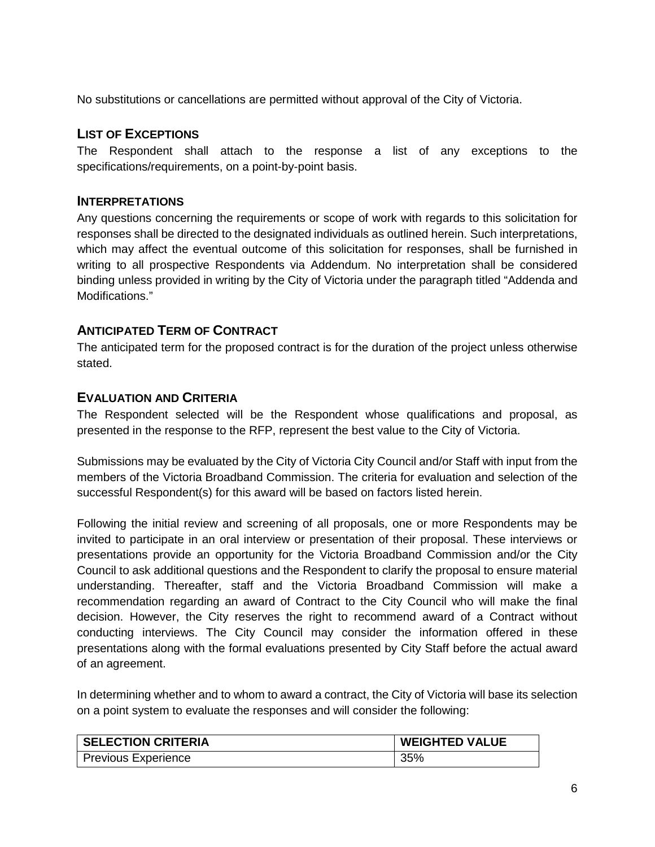No substitutions or cancellations are permitted without approval of the City of Victoria.

#### <span id="page-6-0"></span>**LIST OF EXCEPTIONS**

The Respondent shall attach to the response a list of any exceptions to the specifications/requirements, on a point-by-point basis.

#### <span id="page-6-1"></span>**INTERPRETATIONS**

Any questions concerning the requirements or scope of work with regards to this solicitation for responses shall be directed to the designated individuals as outlined herein. Such interpretations, which may affect the eventual outcome of this solicitation for responses, shall be furnished in writing to all prospective Respondents via Addendum. No interpretation shall be considered binding unless provided in writing by the City of Victoria under the paragraph titled "Addenda and Modifications."

#### <span id="page-6-2"></span>**ANTICIPATED TERM OF CONTRACT**

The anticipated term for the proposed contract is for the duration of the project unless otherwise stated.

#### <span id="page-6-3"></span>**EVALUATION AND CRITERIA**

The Respondent selected will be the Respondent whose qualifications and proposal, as presented in the response to the RFP, represent the best value to the City of Victoria.

Submissions may be evaluated by the City of Victoria City Council and/or Staff with input from the members of the Victoria Broadband Commission. The criteria for evaluation and selection of the successful Respondent(s) for this award will be based on factors listed herein.

Following the initial review and screening of all proposals, one or more Respondents may be invited to participate in an oral interview or presentation of their proposal. These interviews or presentations provide an opportunity for the Victoria Broadband Commission and/or the City Council to ask additional questions and the Respondent to clarify the proposal to ensure material understanding. Thereafter, staff and the Victoria Broadband Commission will make a recommendation regarding an award of Contract to the City Council who will make the final decision. However, the City reserves the right to recommend award of a Contract without conducting interviews. The City Council may consider the information offered in these presentations along with the formal evaluations presented by City Staff before the actual award of an agreement.

In determining whether and to whom to award a contract, the City of Victoria will base its selection on a point system to evaluate the responses and will consider the following:

| <b>SELECTION CRITERIA</b> | <b>WEIGHTED VALUE</b> |
|---------------------------|-----------------------|
| Previous Experience       | 35%                   |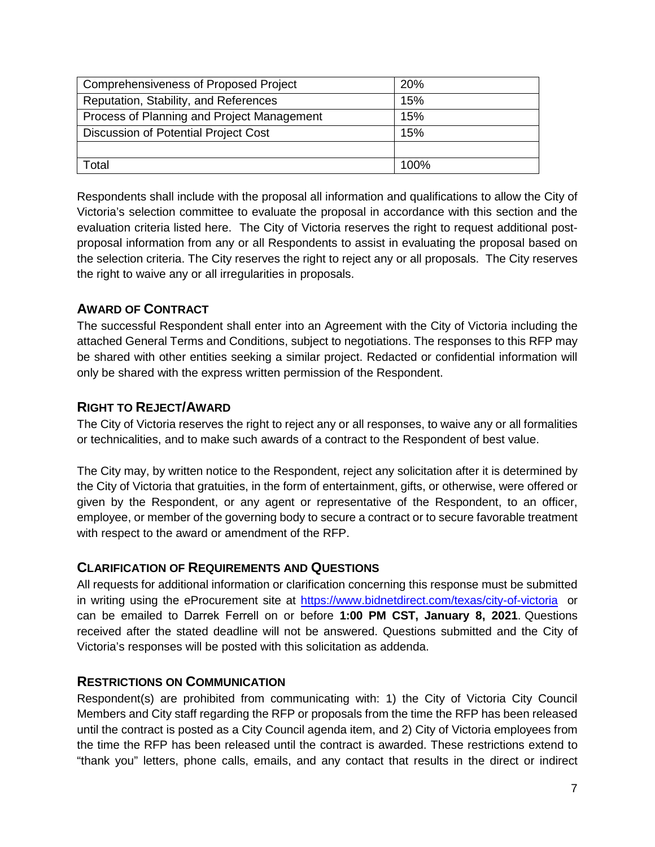| Comprehensiveness of Proposed Project      | <b>20%</b> |
|--------------------------------------------|------------|
| Reputation, Stability, and References      | 15%        |
| Process of Planning and Project Management | 15%        |
| Discussion of Potential Project Cost       | 15%        |
|                                            |            |
| Total                                      | 100%       |

Respondents shall include with the proposal all information and qualifications to allow the City of Victoria's selection committee to evaluate the proposal in accordance with this section and the evaluation criteria listed here. The City of Victoria reserves the right to request additional postproposal information from any or all Respondents to assist in evaluating the proposal based on the selection criteria. The City reserves the right to reject any or all proposals. The City reserves the right to waive any or all irregularities in proposals.

# <span id="page-7-0"></span>**AWARD OF CONTRACT**

The successful Respondent shall enter into an Agreement with the City of Victoria including the attached General Terms and Conditions, subject to negotiations. The responses to this RFP may be shared with other entities seeking a similar project. Redacted or confidential information will only be shared with the express written permission of the Respondent.

#### <span id="page-7-1"></span>**RIGHT TO REJECT/AWARD**

The City of Victoria reserves the right to reject any or all responses, to waive any or all formalities or technicalities, and to make such awards of a contract to the Respondent of best value.

The City may, by written notice to the Respondent, reject any solicitation after it is determined by the City of Victoria that gratuities, in the form of entertainment, gifts, or otherwise, were offered or given by the Respondent, or any agent or representative of the Respondent, to an officer, employee, or member of the governing body to secure a contract or to secure favorable treatment with respect to the award or amendment of the RFP.

#### <span id="page-7-2"></span>**CLARIFICATION OF REQUIREMENTS AND QUESTIONS**

All requests for additional information or clarification concerning this response must be submitted in writing using the eProcurement site at<https://www.bidnetdirect.com/texas/city-of-victoria>or can be emailed to Darrek Ferrell on or before **1:00 PM CST, January 8, 2021**. Questions received after the stated deadline will not be answered. Questions submitted and the City of Victoria's responses will be posted with this solicitation as addenda.

#### <span id="page-7-3"></span>**RESTRICTIONS ON COMMUNICATION**

Respondent(s) are prohibited from communicating with: 1) the City of Victoria City Council Members and City staff regarding the RFP or proposals from the time the RFP has been released until the contract is posted as a City Council agenda item, and 2) City of Victoria employees from the time the RFP has been released until the contract is awarded. These restrictions extend to "thank you" letters, phone calls, emails, and any contact that results in the direct or indirect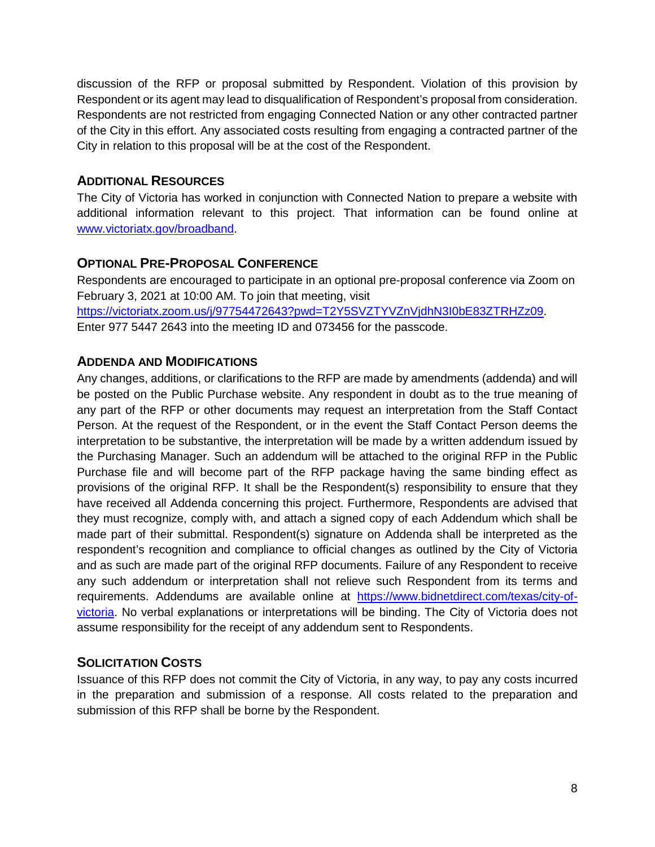discussion of the RFP or proposal submitted by Respondent. Violation of this provision by Respondent or its agent may lead to disqualification of Respondent's proposal from consideration. Respondents are not restricted from engaging Connected Nation or any other contracted partner of the City in this effort. Any associated costs resulting from engaging a contracted partner of the City in relation to this proposal will be at the cost of the Respondent.

### <span id="page-8-0"></span>**ADDITIONAL RESOURCES**

The City of Victoria has worked in conjunction with Connected Nation to prepare a website with additional information relevant to this project. That information can be found online at [www.victoriatx.gov/broadband.](http://www.victoriatx.gov/broadband)

# <span id="page-8-1"></span>**OPTIONAL PRE-PROPOSAL CONFERENCE**

Respondents are encouraged to participate in an optional pre-proposal conference via Zoom on February 3, 2021 at 10:00 AM. To join that meeting, visit

[https://victoriatx.zoom.us/j/97754472643?pwd=T2Y5SVZTYVZnVjdhN3I0bE83ZTRHZz09.](https://victoriatx.zoom.us/j/97754472643?pwd=T2Y5SVZTYVZnVjdhN3I0bE83ZTRHZz09) Enter 977 5447 2643 into the meeting ID and 073456 for the passcode.

# <span id="page-8-2"></span>**ADDENDA AND MODIFICATIONS**

Any changes, additions, or clarifications to the RFP are made by amendments (addenda) and will be posted on the Public Purchase website. Any respondent in doubt as to the true meaning of any part of the RFP or other documents may request an interpretation from the Staff Contact Person. At the request of the Respondent, or in the event the Staff Contact Person deems the interpretation to be substantive, the interpretation will be made by a written addendum issued by the Purchasing Manager. Such an addendum will be attached to the original RFP in the Public Purchase file and will become part of the RFP package having the same binding effect as provisions of the original RFP. It shall be the Respondent(s) responsibility to ensure that they have received all Addenda concerning this project. Furthermore, Respondents are advised that they must recognize, comply with, and attach a signed copy of each Addendum which shall be made part of their submittal. Respondent(s) signature on Addenda shall be interpreted as the respondent's recognition and compliance to official changes as outlined by the City of Victoria and as such are made part of the original RFP documents. Failure of any Respondent to receive any such addendum or interpretation shall not relieve such Respondent from its terms and requirements. Addendums are available online at [https://www.bidnetdirect.com/texas/city-of](https://www.bidnetdirect.com/texas/city-of-victoria)[victoria.](https://www.bidnetdirect.com/texas/city-of-victoria) No verbal explanations or interpretations will be binding. The City of Victoria does not assume responsibility for the receipt of any addendum sent to Respondents.

# <span id="page-8-3"></span>**SOLICITATION COSTS**

Issuance of this RFP does not commit the City of Victoria, in any way, to pay any costs incurred in the preparation and submission of a response. All costs related to the preparation and submission of this RFP shall be borne by the Respondent.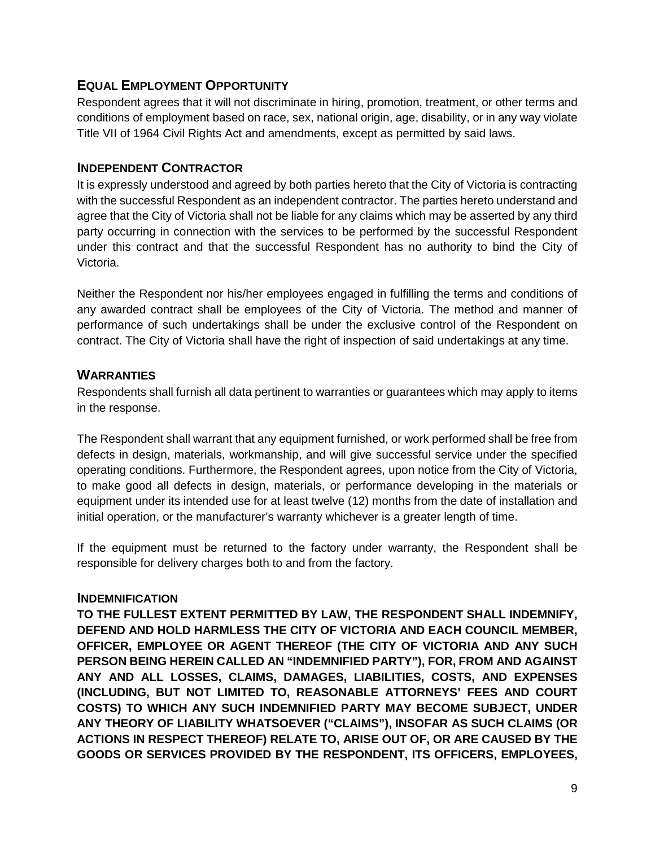#### <span id="page-9-0"></span>**EQUAL EMPLOYMENT OPPORTUNITY**

Respondent agrees that it will not discriminate in hiring, promotion, treatment, or other terms and conditions of employment based on race, sex, national origin, age, disability, or in any way violate Title VII of 1964 Civil Rights Act and amendments, except as permitted by said laws.

#### <span id="page-9-1"></span>**INDEPENDENT CONTRACTOR**

It is expressly understood and agreed by both parties hereto that the City of Victoria is contracting with the successful Respondent as an independent contractor. The parties hereto understand and agree that the City of Victoria shall not be liable for any claims which may be asserted by any third party occurring in connection with the services to be performed by the successful Respondent under this contract and that the successful Respondent has no authority to bind the City of Victoria.

Neither the Respondent nor his/her employees engaged in fulfilling the terms and conditions of any awarded contract shall be employees of the City of Victoria. The method and manner of performance of such undertakings shall be under the exclusive control of the Respondent on contract. The City of Victoria shall have the right of inspection of said undertakings at any time.

#### <span id="page-9-2"></span>**WARRANTIES**

Respondents shall furnish all data pertinent to warranties or guarantees which may apply to items in the response.

The Respondent shall warrant that any equipment furnished, or work performed shall be free from defects in design, materials, workmanship, and will give successful service under the specified operating conditions. Furthermore, the Respondent agrees, upon notice from the City of Victoria, to make good all defects in design, materials, or performance developing in the materials or equipment under its intended use for at least twelve (12) months from the date of installation and initial operation, or the manufacturer's warranty whichever is a greater length of time.

If the equipment must be returned to the factory under warranty, the Respondent shall be responsible for delivery charges both to and from the factory.

#### <span id="page-9-3"></span>**INDEMNIFICATION**

**TO THE FULLEST EXTENT PERMITTED BY LAW, THE RESPONDENT SHALL INDEMNIFY, DEFEND AND HOLD HARMLESS THE CITY OF VICTORIA AND EACH COUNCIL MEMBER, OFFICER, EMPLOYEE OR AGENT THEREOF (THE CITY OF VICTORIA AND ANY SUCH PERSON BEING HEREIN CALLED AN "INDEMNIFIED PARTY"), FOR, FROM AND AGAINST ANY AND ALL LOSSES, CLAIMS, DAMAGES, LIABILITIES, COSTS, AND EXPENSES (INCLUDING, BUT NOT LIMITED TO, REASONABLE ATTORNEYS' FEES AND COURT COSTS) TO WHICH ANY SUCH INDEMNIFIED PARTY MAY BECOME SUBJECT, UNDER ANY THEORY OF LIABILITY WHATSOEVER ("CLAIMS"), INSOFAR AS SUCH CLAIMS (OR ACTIONS IN RESPECT THEREOF) RELATE TO, ARISE OUT OF, OR ARE CAUSED BY THE GOODS OR SERVICES PROVIDED BY THE RESPONDENT, ITS OFFICERS, EMPLOYEES,**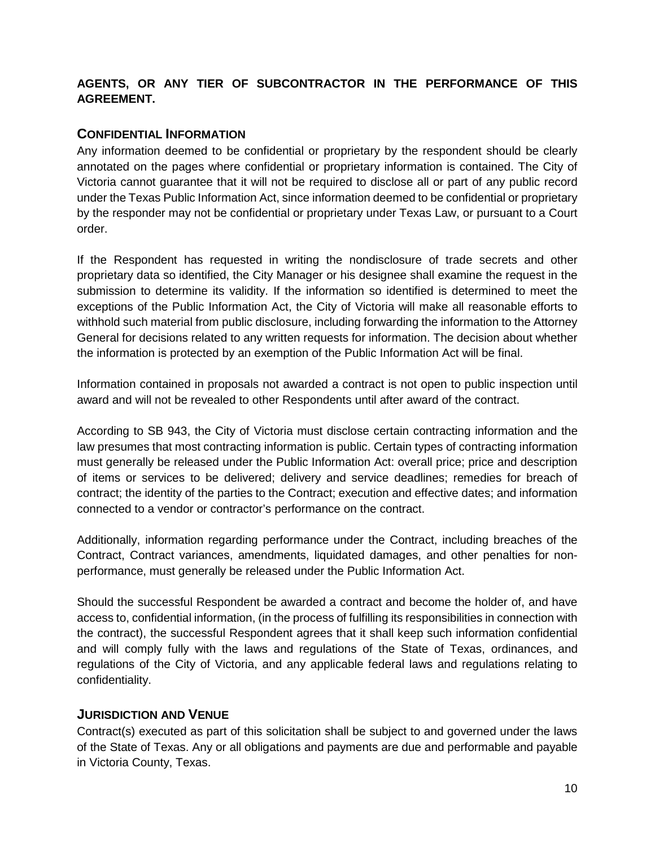# **AGENTS, OR ANY TIER OF SUBCONTRACTOR IN THE PERFORMANCE OF THIS AGREEMENT.**

#### <span id="page-10-0"></span>**CONFIDENTIAL INFORMATION**

Any information deemed to be confidential or proprietary by the respondent should be clearly annotated on the pages where confidential or proprietary information is contained. The City of Victoria cannot guarantee that it will not be required to disclose all or part of any public record under the Texas Public Information Act, since information deemed to be confidential or proprietary by the responder may not be confidential or proprietary under Texas Law, or pursuant to a Court order.

If the Respondent has requested in writing the nondisclosure of trade secrets and other proprietary data so identified, the City Manager or his designee shall examine the request in the submission to determine its validity. If the information so identified is determined to meet the exceptions of the Public Information Act, the City of Victoria will make all reasonable efforts to withhold such material from public disclosure, including forwarding the information to the Attorney General for decisions related to any written requests for information. The decision about whether the information is protected by an exemption of the Public Information Act will be final.

Information contained in proposals not awarded a contract is not open to public inspection until award and will not be revealed to other Respondents until after award of the contract.

According to SB 943, the City of Victoria must disclose certain contracting information and the law presumes that most contracting information is public. Certain types of contracting information must generally be released under the Public Information Act: overall price; price and description of items or services to be delivered; delivery and service deadlines; remedies for breach of contract; the identity of the parties to the Contract; execution and effective dates; and information connected to a vendor or contractor's performance on the contract.

Additionally, information regarding performance under the Contract, including breaches of the Contract, Contract variances, amendments, liquidated damages, and other penalties for nonperformance, must generally be released under the Public Information Act.

Should the successful Respondent be awarded a contract and become the holder of, and have access to, confidential information, (in the process of fulfilling its responsibilities in connection with the contract), the successful Respondent agrees that it shall keep such information confidential and will comply fully with the laws and regulations of the State of Texas, ordinances, and regulations of the City of Victoria, and any applicable federal laws and regulations relating to confidentiality.

#### <span id="page-10-1"></span>**JURISDICTION AND VENUE**

Contract(s) executed as part of this solicitation shall be subject to and governed under the laws of the State of Texas. Any or all obligations and payments are due and performable and payable in Victoria County, Texas.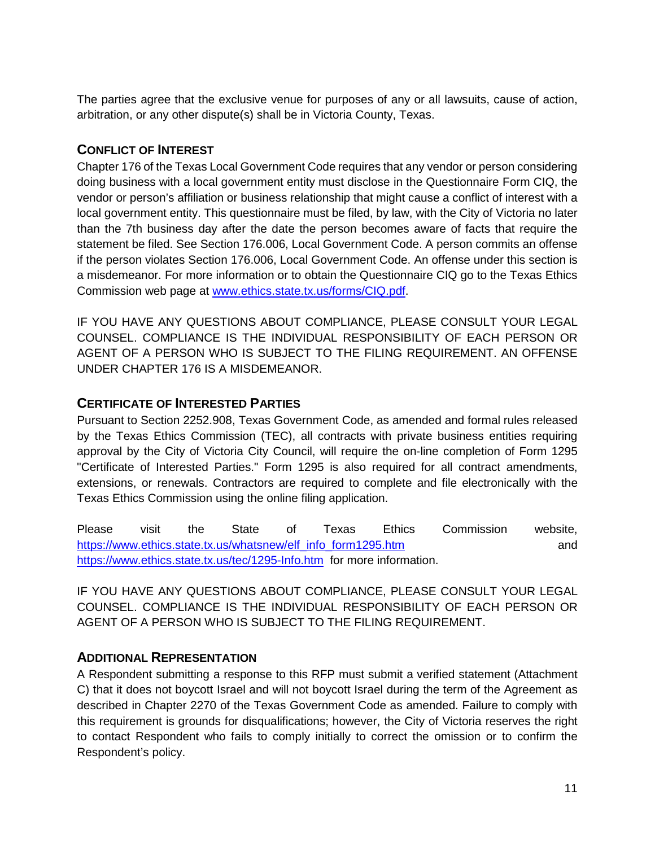The parties agree that the exclusive venue for purposes of any or all lawsuits, cause of action, arbitration, or any other dispute(s) shall be in Victoria County, Texas.

# <span id="page-11-0"></span>**CONFLICT OF INTEREST**

Chapter 176 of the Texas Local Government Code requires that any vendor or person considering doing business with a local government entity must disclose in the Questionnaire Form CIQ, the vendor or person's affiliation or business relationship that might cause a conflict of interest with a local government entity. This questionnaire must be filed, by law, with the City of Victoria no later than the 7th business day after the date the person becomes aware of facts that require the statement be filed. See Section 176.006, Local Government Code. A person commits an offense if the person violates Section 176.006, Local Government Code. An offense under this section is a misdemeanor. For more information or to obtain the Questionnaire CIQ go to the Texas Ethics Commission web page at [www.ethics.state.tx.us/forms/CIQ.pdf.](http://www.ethics.state.tx.us/forms/CIQ.pdf)

IF YOU HAVE ANY QUESTIONS ABOUT COMPLIANCE, PLEASE CONSULT YOUR LEGAL COUNSEL. COMPLIANCE IS THE INDIVIDUAL RESPONSIBILITY OF EACH PERSON OR AGENT OF A PERSON WHO IS SUBJECT TO THE FILING REQUIREMENT. AN OFFENSE UNDER CHAPTER 176 IS A MISDEMEANOR.

#### <span id="page-11-1"></span>**CERTIFICATE OF INTERESTED PARTIES**

Pursuant to Section 2252.908, Texas Government Code, as amended and formal rules released by the Texas Ethics Commission (TEC), all contracts with private business entities requiring approval by the City of Victoria City Council, will require the on-line completion of Form 1295 "Certificate of Interested Parties." Form 1295 is also required for all contract amendments, extensions, or renewals. Contractors are required to complete and file electronically with the Texas Ethics Commission using the online filing application.

Please visit the State of Texas Ethics Commission website, [https://www.ethics.state.tx.us/whatsnew/elf\\_info\\_form1295.htm](https://www.ethics.state.tx.us/whatsnew/elf_info_form1295.htm) and <https://www.ethics.state.tx.us/tec/1295-Info.htm>for more information.

IF YOU HAVE ANY QUESTIONS ABOUT COMPLIANCE, PLEASE CONSULT YOUR LEGAL COUNSEL. COMPLIANCE IS THE INDIVIDUAL RESPONSIBILITY OF EACH PERSON OR AGENT OF A PERSON WHO IS SUBJECT TO THE FILING REQUIREMENT.

# <span id="page-11-2"></span>**ADDITIONAL REPRESENTATION**

A Respondent submitting a response to this RFP must submit a verified statement (Attachment C) that it does not boycott Israel and will not boycott Israel during the term of the Agreement as described in Chapter 2270 of the Texas Government Code as amended. Failure to comply with this requirement is grounds for disqualifications; however, the City of Victoria reserves the right to contact Respondent who fails to comply initially to correct the omission or to confirm the Respondent's policy.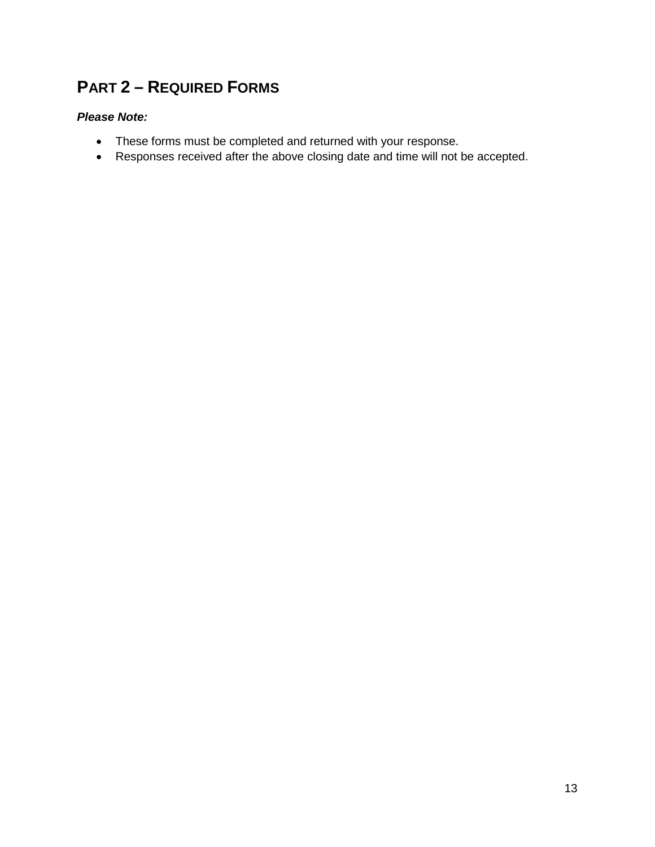# <span id="page-12-0"></span>**PART 2 – REQUIRED FORMS**

#### *Please Note:*

- These forms must be completed and returned with your response.
- Responses received after the above closing date and time will not be accepted.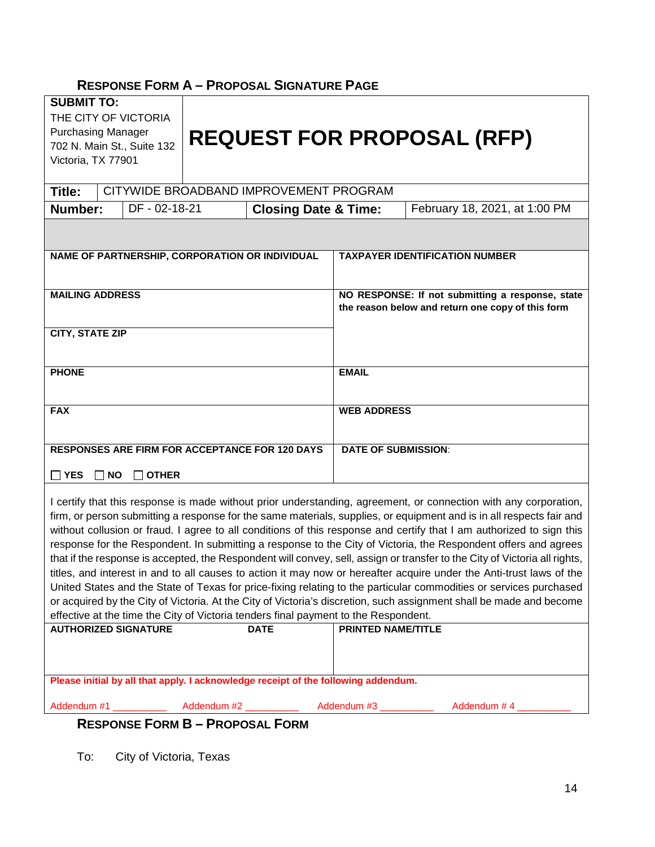# <span id="page-13-0"></span>**RESPONSE FORM A – PROPOSAL SIGNATURE PAGE**

| <b>SUBMIT TO:</b><br>THE CITY OF VICTORIA<br><b>Purchasing Manager</b><br>Victoria, TX 77901                                                                                                                                                                                                                                                                                                                                                                                                                                                                                                                                                                                                                                                                                                                                                                                                                                                                                                                                                                                                                 |  | 702 N. Main St., Suite 132            |  |                                                       |                                                                                                       | <b>REQUEST FOR PROPOSAL (RFP)</b>                                         |
|--------------------------------------------------------------------------------------------------------------------------------------------------------------------------------------------------------------------------------------------------------------------------------------------------------------------------------------------------------------------------------------------------------------------------------------------------------------------------------------------------------------------------------------------------------------------------------------------------------------------------------------------------------------------------------------------------------------------------------------------------------------------------------------------------------------------------------------------------------------------------------------------------------------------------------------------------------------------------------------------------------------------------------------------------------------------------------------------------------------|--|---------------------------------------|--|-------------------------------------------------------|-------------------------------------------------------------------------------------------------------|---------------------------------------------------------------------------|
| Title:                                                                                                                                                                                                                                                                                                                                                                                                                                                                                                                                                                                                                                                                                                                                                                                                                                                                                                                                                                                                                                                                                                       |  |                                       |  | CITYWIDE BROADBAND IMPROVEMENT PROGRAM                |                                                                                                       |                                                                           |
| Number:                                                                                                                                                                                                                                                                                                                                                                                                                                                                                                                                                                                                                                                                                                                                                                                                                                                                                                                                                                                                                                                                                                      |  | DF - 02-18-21                         |  | <b>Closing Date &amp; Time:</b>                       |                                                                                                       | February 18, 2021, at 1:00 PM                                             |
|                                                                                                                                                                                                                                                                                                                                                                                                                                                                                                                                                                                                                                                                                                                                                                                                                                                                                                                                                                                                                                                                                                              |  |                                       |  |                                                       |                                                                                                       |                                                                           |
| NAME OF PARTNERSHIP, CORPORATION OR INDIVIDUAL                                                                                                                                                                                                                                                                                                                                                                                                                                                                                                                                                                                                                                                                                                                                                                                                                                                                                                                                                                                                                                                               |  | <b>TAXPAYER IDENTIFICATION NUMBER</b> |  |                                                       |                                                                                                       |                                                                           |
| <b>MAILING ADDRESS</b>                                                                                                                                                                                                                                                                                                                                                                                                                                                                                                                                                                                                                                                                                                                                                                                                                                                                                                                                                                                                                                                                                       |  |                                       |  |                                                       | NO RESPONSE: If not submitting a response, state<br>the reason below and return one copy of this form |                                                                           |
| <b>CITY, STATE ZIP</b>                                                                                                                                                                                                                                                                                                                                                                                                                                                                                                                                                                                                                                                                                                                                                                                                                                                                                                                                                                                                                                                                                       |  |                                       |  |                                                       |                                                                                                       |                                                                           |
| <b>PHONE</b>                                                                                                                                                                                                                                                                                                                                                                                                                                                                                                                                                                                                                                                                                                                                                                                                                                                                                                                                                                                                                                                                                                 |  | <b>EMAIL</b>                          |  |                                                       |                                                                                                       |                                                                           |
| <b>FAX</b>                                                                                                                                                                                                                                                                                                                                                                                                                                                                                                                                                                                                                                                                                                                                                                                                                                                                                                                                                                                                                                                                                                   |  | <b>WEB ADDRESS</b>                    |  |                                                       |                                                                                                       |                                                                           |
|                                                                                                                                                                                                                                                                                                                                                                                                                                                                                                                                                                                                                                                                                                                                                                                                                                                                                                                                                                                                                                                                                                              |  |                                       |  | <b>RESPONSES ARE FIRM FOR ACCEPTANCE FOR 120 DAYS</b> | <b>DATE OF SUBMISSION:</b>                                                                            |                                                                           |
| $\Box$ YES<br>$\Box$ NO<br><b>OTHER</b>                                                                                                                                                                                                                                                                                                                                                                                                                                                                                                                                                                                                                                                                                                                                                                                                                                                                                                                                                                                                                                                                      |  |                                       |  |                                                       |                                                                                                       |                                                                           |
| I certify that this response is made without prior understanding, agreement, or connection with any corporation,<br>firm, or person submitting a response for the same materials, supplies, or equipment and is in all respects fair and<br>without collusion or fraud. I agree to all conditions of this response and certify that I am authorized to sign this<br>response for the Respondent. In submitting a response to the City of Victoria, the Respondent offers and agrees<br>that if the response is accepted, the Respondent will convey, sell, assign or transfer to the City of Victoria all rights,<br>titles, and interest in and to all causes to action it may now or hereafter acquire under the Anti-trust laws of the<br>United States and the State of Texas for price-fixing relating to the particular commodities or services purchased<br>or acquired by the City of Victoria. At the City of Victoria's discretion, such assignment shall be made and become<br>effective at the time the City of Victoria tenders final payment to the Respondent.<br><b>AUTHORIZED SIGNATURE</b> |  |                                       |  |                                                       |                                                                                                       |                                                                           |
|                                                                                                                                                                                                                                                                                                                                                                                                                                                                                                                                                                                                                                                                                                                                                                                                                                                                                                                                                                                                                                                                                                              |  |                                       |  | <b>DATE</b>                                           | <b>PRINTED NAME/TITLE</b>                                                                             |                                                                           |
| Please initial by all that apply. I acknowledge receipt of the following addendum.                                                                                                                                                                                                                                                                                                                                                                                                                                                                                                                                                                                                                                                                                                                                                                                                                                                                                                                                                                                                                           |  |                                       |  |                                                       |                                                                                                       |                                                                           |
|                                                                                                                                                                                                                                                                                                                                                                                                                                                                                                                                                                                                                                                                                                                                                                                                                                                                                                                                                                                                                                                                                                              |  | Addendum #1                           |  |                                                       |                                                                                                       | Addendum #2 ______________ Addendum #3 ___________ Addendum # 4 _________ |
| <b>RESPONSE FORM B-PROPOSAL FORM</b>                                                                                                                                                                                                                                                                                                                                                                                                                                                                                                                                                                                                                                                                                                                                                                                                                                                                                                                                                                                                                                                                         |  |                                       |  |                                                       |                                                                                                       |                                                                           |

<span id="page-13-1"></span>To: City of Victoria, Texas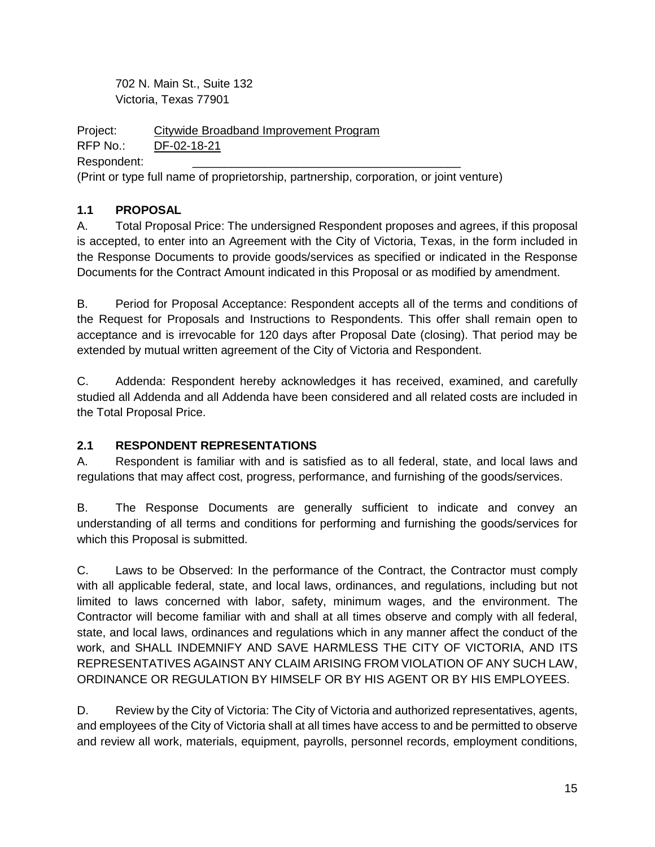702 N. Main St., Suite 132 Victoria, Texas 77901

Project: Citywide Broadband Improvement Program

RFP No.: DF-02-18-21

Respondent:

(Print or type full name of proprietorship, partnership, corporation, or joint venture)

# <span id="page-14-0"></span>**1.1 PROPOSAL**

A. Total Proposal Price: The undersigned Respondent proposes and agrees, if this proposal is accepted, to enter into an Agreement with the City of Victoria, Texas, in the form included in the Response Documents to provide goods/services as specified or indicated in the Response Documents for the Contract Amount indicated in this Proposal or as modified by amendment.

B. Period for Proposal Acceptance: Respondent accepts all of the terms and conditions of the Request for Proposals and Instructions to Respondents. This offer shall remain open to acceptance and is irrevocable for 120 days after Proposal Date (closing). That period may be extended by mutual written agreement of the City of Victoria and Respondent.

C. Addenda: Respondent hereby acknowledges it has received, examined, and carefully studied all Addenda and all Addenda have been considered and all related costs are included in the Total Proposal Price.

# <span id="page-14-1"></span>**2.1 RESPONDENT REPRESENTATIONS**

A. Respondent is familiar with and is satisfied as to all federal, state, and local laws and regulations that may affect cost, progress, performance, and furnishing of the goods/services.

B. The Response Documents are generally sufficient to indicate and convey an understanding of all terms and conditions for performing and furnishing the goods/services for which this Proposal is submitted.

C. Laws to be Observed: In the performance of the Contract, the Contractor must comply with all applicable federal, state, and local laws, ordinances, and regulations, including but not limited to laws concerned with labor, safety, minimum wages, and the environment. The Contractor will become familiar with and shall at all times observe and comply with all federal, state, and local laws, ordinances and regulations which in any manner affect the conduct of the work, and SHALL INDEMNIFY AND SAVE HARMLESS THE CITY OF VICTORIA, AND ITS REPRESENTATIVES AGAINST ANY CLAIM ARISING FROM VIOLATION OF ANY SUCH LAW, ORDINANCE OR REGULATION BY HIMSELF OR BY HIS AGENT OR BY HIS EMPLOYEES.

D. Review by the City of Victoria: The City of Victoria and authorized representatives, agents, and employees of the City of Victoria shall at all times have access to and be permitted to observe and review all work, materials, equipment, payrolls, personnel records, employment conditions,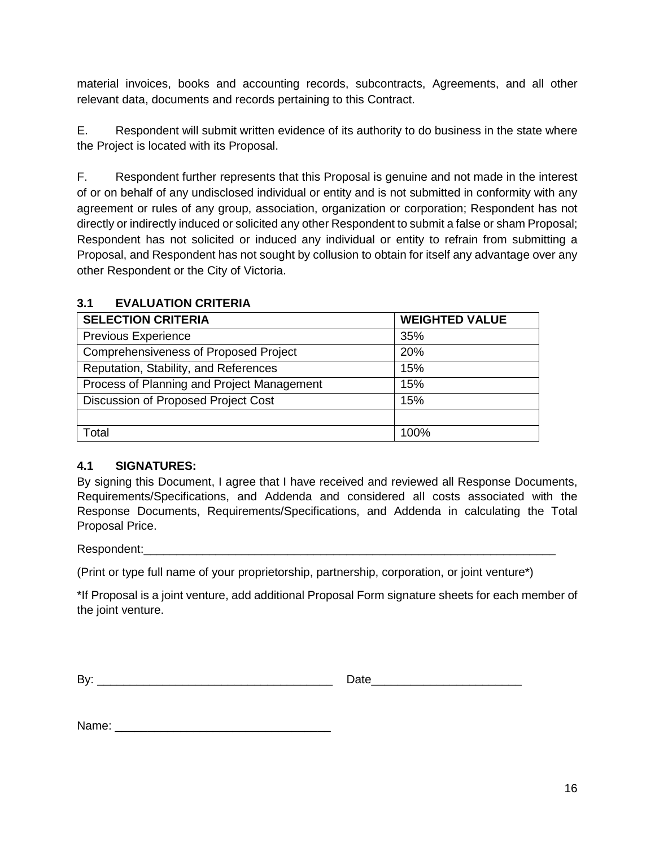material invoices, books and accounting records, subcontracts, Agreements, and all other relevant data, documents and records pertaining to this Contract.

E. Respondent will submit written evidence of its authority to do business in the state where the Project is located with its Proposal.

F. Respondent further represents that this Proposal is genuine and not made in the interest of or on behalf of any undisclosed individual or entity and is not submitted in conformity with any agreement or rules of any group, association, organization or corporation; Respondent has not directly or indirectly induced or solicited any other Respondent to submit a false or sham Proposal; Respondent has not solicited or induced any individual or entity to refrain from submitting a Proposal, and Respondent has not sought by collusion to obtain for itself any advantage over any other Respondent or the City of Victoria.

| <b>SELECTION CRITERIA</b>                  | <b>WEIGHTED VALUE</b> |
|--------------------------------------------|-----------------------|
| Previous Experience                        | 35%                   |
| Comprehensiveness of Proposed Project      | 20%                   |
| Reputation, Stability, and References      | 15%                   |
| Process of Planning and Project Management | 15%                   |
| Discussion of Proposed Project Cost        | 15%                   |
|                                            |                       |
| Total                                      | 100%                  |

#### <span id="page-15-0"></span>**3.1 EVALUATION CRITERIA**

#### <span id="page-15-1"></span>**4.1 SIGNATURES:**

By signing this Document, I agree that I have received and reviewed all Response Documents, Requirements/Specifications, and Addenda and considered all costs associated with the Response Documents, Requirements/Specifications, and Addenda in calculating the Total Proposal Price.

Respondent:

(Print or type full name of your proprietorship, partnership, corporation, or joint venture\*)

\*If Proposal is a joint venture, add additional Proposal Form signature sheets for each member of the joint venture.

By: \_\_\_\_\_\_\_\_\_\_\_\_\_\_\_\_\_\_\_\_\_\_\_\_\_\_\_\_\_\_\_\_\_\_\_\_ Date\_\_\_\_\_\_\_\_\_\_\_\_\_\_\_\_\_\_\_\_\_\_\_

Name: \_\_\_\_\_\_\_\_\_\_\_\_\_\_\_\_\_\_\_\_\_\_\_\_\_\_\_\_\_\_\_\_\_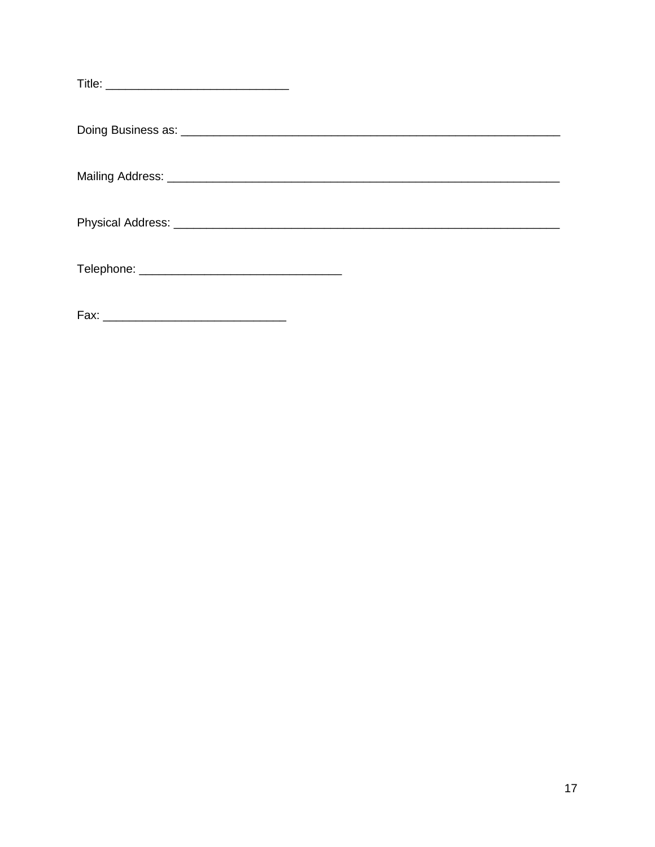| Fax: |  |
|------|--|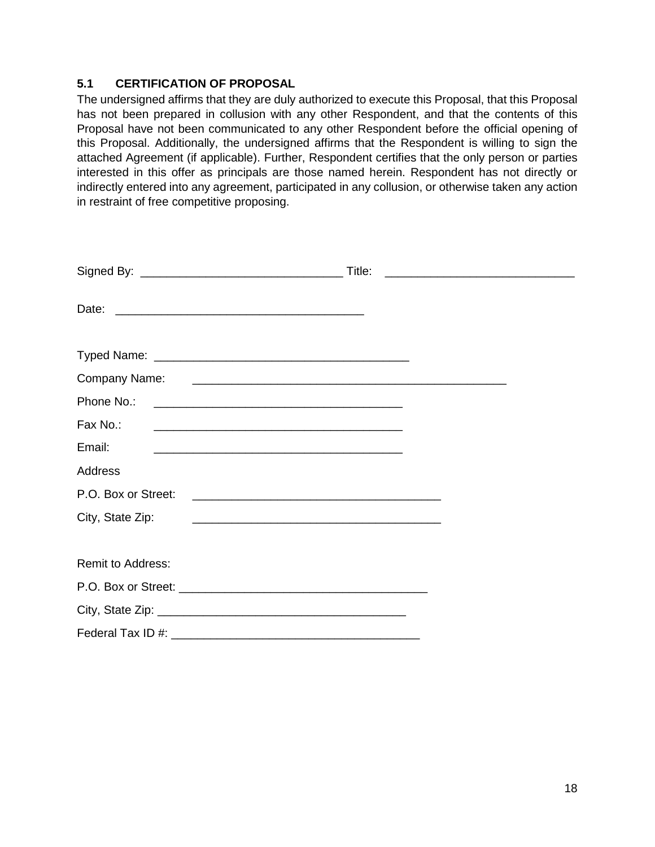#### <span id="page-17-0"></span>**5.1 CERTIFICATION OF PROPOSAL**

The undersigned affirms that they are duly authorized to execute this Proposal, that this Proposal has not been prepared in collusion with any other Respondent, and that the contents of this Proposal have not been communicated to any other Respondent before the official opening of this Proposal. Additionally, the undersigned affirms that the Respondent is willing to sign the attached Agreement (if applicable). Further, Respondent certifies that the only person or parties interested in this offer as principals are those named herein. Respondent has not directly or indirectly entered into any agreement, participated in any collusion, or otherwise taken any action in restraint of free competitive proposing.

|                                                                                                                                           | <u> 1980 - Andrea Andrew Maria (h. 1980).</u> |
|-------------------------------------------------------------------------------------------------------------------------------------------|-----------------------------------------------|
|                                                                                                                                           |                                               |
|                                                                                                                                           |                                               |
| Company Name:                                                                                                                             |                                               |
| Phone No.:                                                                                                                                |                                               |
| Fax No.:<br><u> 2008 - Jan James James Barnett, amerikansk politik (d. 1888)</u>                                                          |                                               |
| Email:<br><u> 1980 - Johann John Stone, mars eta biztanleria (h. 1980).</u>                                                               |                                               |
| Address                                                                                                                                   |                                               |
| P.O. Box or Street:                                                                                                                       |                                               |
| City, State Zip:<br><u> 1989 - Johann Harry Harry Harry Harry Harry Harry Harry Harry Harry Harry Harry Harry Harry Harry Harry Harry</u> |                                               |
|                                                                                                                                           |                                               |
| Remit to Address:                                                                                                                         |                                               |
|                                                                                                                                           |                                               |
|                                                                                                                                           |                                               |
|                                                                                                                                           |                                               |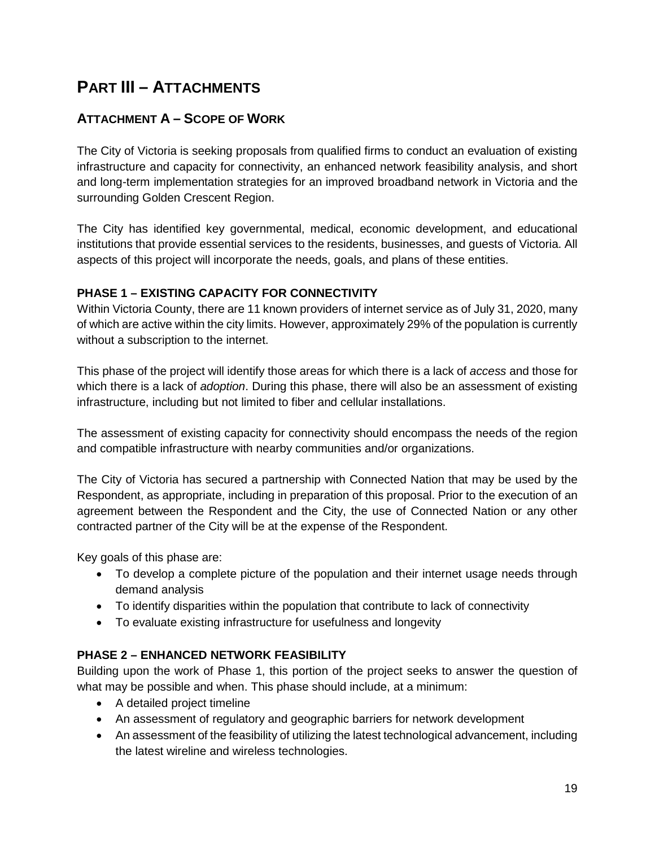# <span id="page-18-0"></span>**PART III – ATTACHMENTS**

# <span id="page-18-1"></span>**ATTACHMENT A – SCOPE OF WORK**

The City of Victoria is seeking proposals from qualified firms to conduct an evaluation of existing infrastructure and capacity for connectivity, an enhanced network feasibility analysis, and short and long-term implementation strategies for an improved broadband network in Victoria and the surrounding Golden Crescent Region.

The City has identified key governmental, medical, economic development, and educational institutions that provide essential services to the residents, businesses, and guests of Victoria. All aspects of this project will incorporate the needs, goals, and plans of these entities.

#### <span id="page-18-2"></span>**PHASE 1 – EXISTING CAPACITY FOR CONNECTIVITY**

Within Victoria County, there are 11 known providers of internet service as of July 31, 2020, many of which are active within the city limits. However, approximately 29% of the population is currently without a subscription to the internet.

This phase of the project will identify those areas for which there is a lack of *access* and those for which there is a lack of *adoption*. During this phase, there will also be an assessment of existing infrastructure, including but not limited to fiber and cellular installations.

The assessment of existing capacity for connectivity should encompass the needs of the region and compatible infrastructure with nearby communities and/or organizations.

The City of Victoria has secured a partnership with Connected Nation that may be used by the Respondent, as appropriate, including in preparation of this proposal. Prior to the execution of an agreement between the Respondent and the City, the use of Connected Nation or any other contracted partner of the City will be at the expense of the Respondent.

Key goals of this phase are:

- To develop a complete picture of the population and their internet usage needs through demand analysis
- To identify disparities within the population that contribute to lack of connectivity
- To evaluate existing infrastructure for usefulness and longevity

# <span id="page-18-3"></span>**PHASE 2 – ENHANCED NETWORK FEASIBILITY**

Building upon the work of Phase 1, this portion of the project seeks to answer the question of what may be possible and when. This phase should include, at a minimum:

- A detailed project timeline
- An assessment of regulatory and geographic barriers for network development
- An assessment of the feasibility of utilizing the latest technological advancement, including the latest wireline and wireless technologies.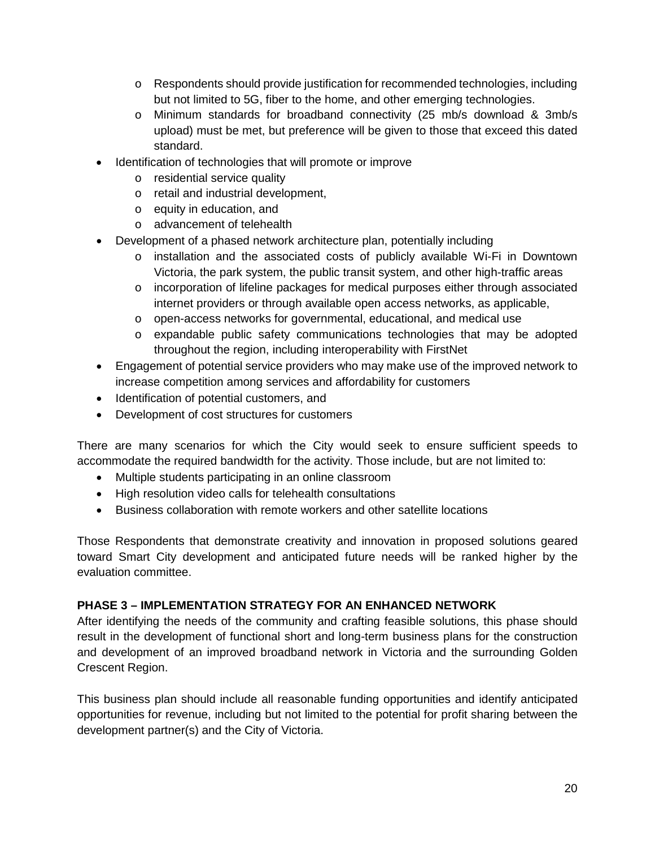- o Respondents should provide justification for recommended technologies, including but not limited to 5G, fiber to the home, and other emerging technologies.
- o Minimum standards for broadband connectivity (25 mb/s download & 3mb/s upload) must be met, but preference will be given to those that exceed this dated standard.
- Identification of technologies that will promote or improve
	- o residential service quality
	- o retail and industrial development,
	- o equity in education, and
	- o advancement of telehealth
- Development of a phased network architecture plan, potentially including
	- o installation and the associated costs of publicly available Wi-Fi in Downtown Victoria, the park system, the public transit system, and other high-traffic areas
	- $\circ$  incorporation of lifeline packages for medical purposes either through associated internet providers or through available open access networks, as applicable,
	- o open-access networks for governmental, educational, and medical use
	- o expandable public safety communications technologies that may be adopted throughout the region, including interoperability with FirstNet
- Engagement of potential service providers who may make use of the improved network to increase competition among services and affordability for customers
- Identification of potential customers, and
- Development of cost structures for customers

There are many scenarios for which the City would seek to ensure sufficient speeds to accommodate the required bandwidth for the activity. Those include, but are not limited to:

- Multiple students participating in an online classroom
- High resolution video calls for telehealth consultations
- Business collaboration with remote workers and other satellite locations

Those Respondents that demonstrate creativity and innovation in proposed solutions geared toward Smart City development and anticipated future needs will be ranked higher by the evaluation committee.

#### <span id="page-19-0"></span>**PHASE 3 – IMPLEMENTATION STRATEGY FOR AN ENHANCED NETWORK**

After identifying the needs of the community and crafting feasible solutions, this phase should result in the development of functional short and long-term business plans for the construction and development of an improved broadband network in Victoria and the surrounding Golden Crescent Region.

This business plan should include all reasonable funding opportunities and identify anticipated opportunities for revenue, including but not limited to the potential for profit sharing between the development partner(s) and the City of Victoria.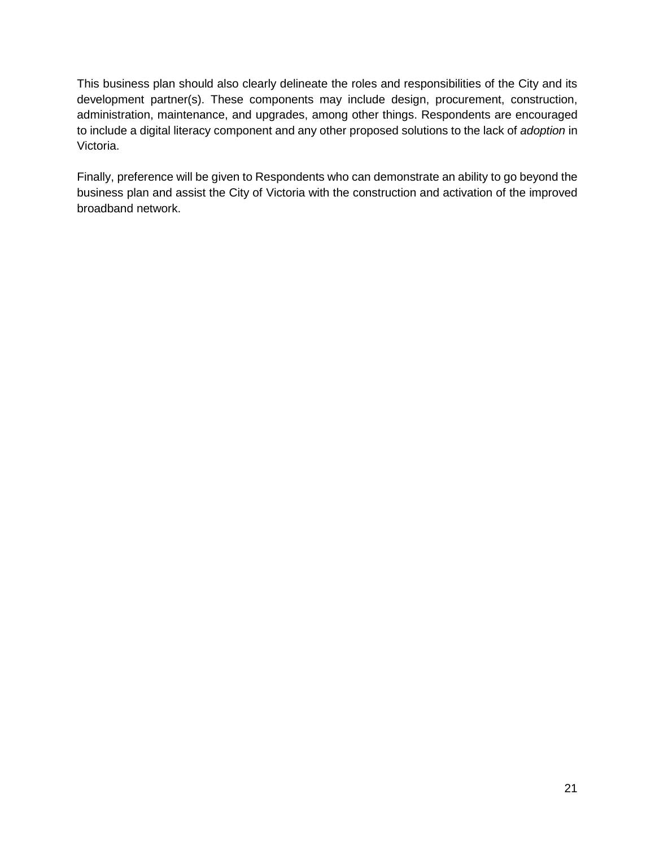This business plan should also clearly delineate the roles and responsibilities of the City and its development partner(s). These components may include design, procurement, construction, administration, maintenance, and upgrades, among other things. Respondents are encouraged to include a digital literacy component and any other proposed solutions to the lack of *adoption* in Victoria.

Finally, preference will be given to Respondents who can demonstrate an ability to go beyond the business plan and assist the City of Victoria with the construction and activation of the improved broadband network.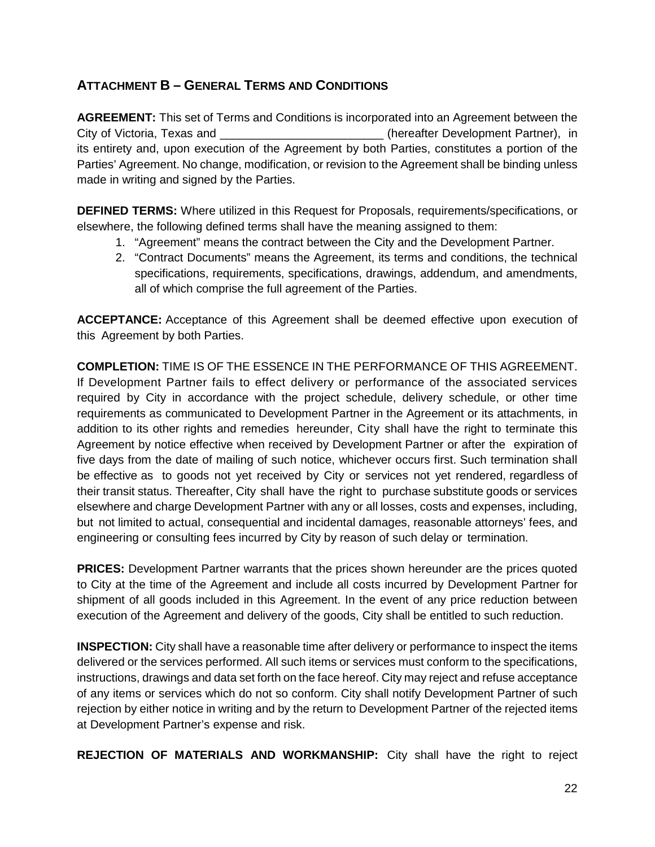# <span id="page-21-0"></span>**ATTACHMENT B – GENERAL TERMS AND CONDITIONS**

**AGREEMENT:** This set of Terms and Conditions is incorporated into an Agreement between the City of Victoria, Texas and \_\_\_\_\_\_\_\_\_\_\_\_\_\_\_\_\_\_\_\_\_\_\_\_\_ (hereafter Development Partner), in its entirety and, upon execution of the Agreement by both Parties, constitutes a portion of the Parties' Agreement. No change, modification, or revision to the Agreement shall be binding unless made in writing and signed by the Parties.

**DEFINED TERMS:** Where utilized in this Request for Proposals, requirements/specifications, or elsewhere, the following defined terms shall have the meaning assigned to them:

- 1. "Agreement" means the contract between the City and the Development Partner.
- 2. "Contract Documents" means the Agreement, its terms and conditions, the technical specifications, requirements, specifications, drawings, addendum, and amendments, all of which comprise the full agreement of the Parties.

**ACCEPTANCE:** Acceptance of this Agreement shall be deemed effective upon execution of this Agreement by both Parties.

**COMPLETION:** TIME IS OF THE ESSENCE IN THE PERFORMANCE OF THIS AGREEMENT. If Development Partner fails to effect delivery or performance of the associated services required by City in accordance with the project schedule, delivery schedule, or other time requirements as communicated to Development Partner in the Agreement or its attachments, in addition to its other rights and remedies hereunder, City shall have the right to terminate this Agreement by notice effective when received by Development Partner or after the expiration of five days from the date of mailing of such notice, whichever occurs first. Such termination shall be effective as to goods not yet received by City or services not yet rendered, regardless of their transit status. Thereafter, City shall have the right to purchase substitute goods or services elsewhere and charge Development Partner with any or all losses, costs and expenses, including, but not limited to actual, consequential and incidental damages, reasonable attorneys' fees, and engineering or consulting fees incurred by City by reason of such delay or termination.

**PRICES:** Development Partner warrants that the prices shown hereunder are the prices quoted to City at the time of the Agreement and include all costs incurred by Development Partner for shipment of all goods included in this Agreement. In the event of any price reduction between execution of the Agreement and delivery of the goods, City shall be entitled to such reduction.

**INSPECTION:** City shall have a reasonable time after delivery or performance to inspect the items delivered or the services performed. All such items or services must conform to the specifications, instructions, drawings and data set forth on the face hereof. City may reject and refuse acceptance of any items or services which do not so conform. City shall notify Development Partner of such rejection by either notice in writing and by the return to Development Partner of the rejected items at Development Partner's expense and risk.

**REJECTION OF MATERIALS AND WORKMANSHIP:** City shall have the right to reject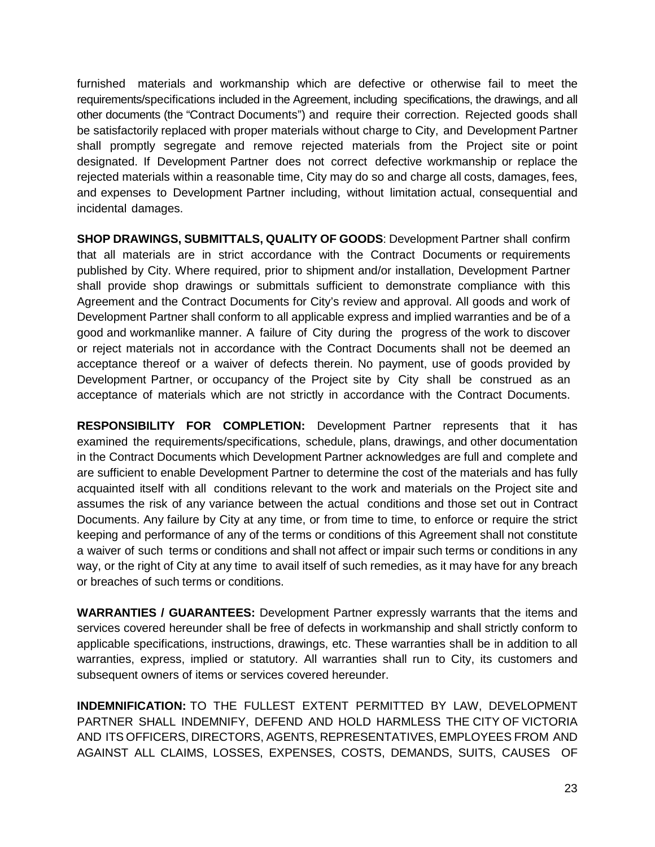furnished materials and workmanship which are defective or otherwise fail to meet the requirements/specifications included in the Agreement, including specifications, the drawings, and all other documents (the "Contract Documents") and require their correction. Rejected goods shall be satisfactorily replaced with proper materials without charge to City, and Development Partner shall promptly segregate and remove rejected materials from the Project site or point designated. If Development Partner does not correct defective workmanship or replace the rejected materials within a reasonable time, City may do so and charge all costs, damages, fees, and expenses to Development Partner including, without limitation actual, consequential and incidental damages.

**SHOP DRAWINGS, SUBMITTALS, QUALITY OF GOODS**: Development Partner shall confirm that all materials are in strict accordance with the Contract Documents or requirements published by City. Where required, prior to shipment and/or installation, Development Partner shall provide shop drawings or submittals sufficient to demonstrate compliance with this Agreement and the Contract Documents for City's review and approval. All goods and work of Development Partner shall conform to all applicable express and implied warranties and be of a good and workmanlike manner. A failure of City during the progress of the work to discover or reject materials not in accordance with the Contract Documents shall not be deemed an acceptance thereof or a waiver of defects therein. No payment, use of goods provided by Development Partner, or occupancy of the Project site by City shall be construed as an acceptance of materials which are not strictly in accordance with the Contract Documents.

**RESPONSIBILITY FOR COMPLETION:** Development Partner represents that it has examined the requirements/specifications, schedule, plans, drawings, and other documentation in the Contract Documents which Development Partner acknowledges are full and complete and are sufficient to enable Development Partner to determine the cost of the materials and has fully acquainted itself with all conditions relevant to the work and materials on the Project site and assumes the risk of any variance between the actual conditions and those set out in Contract Documents. Any failure by City at any time, or from time to time, to enforce or require the strict keeping and performance of any of the terms or conditions of this Agreement shall not constitute a waiver of such terms or conditions and shall not affect or impair such terms or conditions in any way, or the right of City at any time to avail itself of such remedies, as it may have for any breach or breaches of such terms or conditions.

**WARRANTIES / GUARANTEES:** Development Partner expressly warrants that the items and services covered hereunder shall be free of defects in workmanship and shall strictly conform to applicable specifications, instructions, drawings, etc. These warranties shall be in addition to all warranties, express, implied or statutory. All warranties shall run to City, its customers and subsequent owners of items or services covered hereunder.

**INDEMNIFICATION:** TO THE FULLEST EXTENT PERMITTED BY LAW, DEVELOPMENT PARTNER SHALL INDEMNIFY, DEFEND AND HOLD HARMLESS THE CITY OF VICTORIA AND ITS OFFICERS, DIRECTORS, AGENTS, REPRESENTATIVES, EMPLOYEES FROM AND AGAINST ALL CLAIMS, LOSSES, EXPENSES, COSTS, DEMANDS, SUITS, CAUSES OF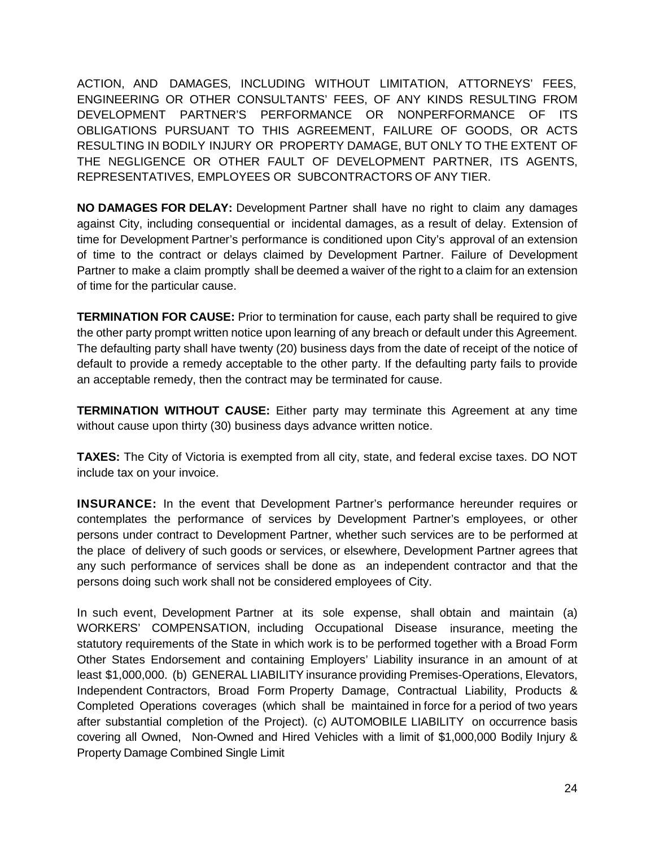ACTION, AND DAMAGES, INCLUDING WITHOUT LIMITATION, ATTORNEYS' FEES, ENGINEERING OR OTHER CONSULTANTS' FEES, OF ANY KINDS RESULTING FROM DEVELOPMENT PARTNER'S PERFORMANCE OR NONPERFORMANCE OF ITS OBLIGATIONS PURSUANT TO THIS AGREEMENT, FAILURE OF GOODS, OR ACTS RESULTING IN BODILY INJURY OR PROPERTY DAMAGE, BUT ONLY TO THE EXTENT OF THE NEGLIGENCE OR OTHER FAULT OF DEVELOPMENT PARTNER, ITS AGENTS, REPRESENTATIVES, EMPLOYEES OR SUBCONTRACTORS OF ANY TIER.

**NO DAMAGES FOR DELAY:** Development Partner shall have no right to claim any damages against City, including consequential or incidental damages, as a result of delay. Extension of time for Development Partner's performance is conditioned upon City's approval of an extension of time to the contract or delays claimed by Development Partner. Failure of Development Partner to make a claim promptly shall be deemed a waiver of the right to a claim for an extension of time for the particular cause.

**TERMINATION FOR CAUSE:** Prior to termination for cause, each party shall be required to give the other party prompt written notice upon learning of any breach or default under this Agreement. The defaulting party shall have twenty (20) business days from the date of receipt of the notice of default to provide a remedy acceptable to the other party. If the defaulting party fails to provide an acceptable remedy, then the contract may be terminated for cause.

**TERMINATION WITHOUT CAUSE:** Either party may terminate this Agreement at any time without cause upon thirty (30) business days advance written notice.

**TAXES:** The City of Victoria is exempted from all city, state, and federal excise taxes. DO NOT include tax on your invoice.

**INSURANCE:** In the event that Development Partner's performance hereunder requires or contemplates the performance of services by Development Partner's employees, or other persons under contract to Development Partner, whether such services are to be performed at the place of delivery of such goods or services, or elsewhere, Development Partner agrees that any such performance of services shall be done as an independent contractor and that the persons doing such work shall not be considered employees of City.

In such event, Development Partner at its sole expense, shall obtain and maintain (a) WORKERS' COMPENSATION, including Occupational Disease insurance, meeting the statutory requirements of the State in which work is to be performed together with a Broad Form Other States Endorsement and containing Employers' Liability insurance in an amount of at least \$1,000,000. (b) GENERAL LIABILITY insurance providing Premises-Operations, Elevators, Independent Contractors, Broad Form Property Damage, Contractual Liability, Products & Completed Operations coverages (which shall be maintained in force for a period of two years after substantial completion of the Project). (c) AUTOMOBILE LIABILITY on occurrence basis covering all Owned, Non-Owned and Hired Vehicles with a limit of \$1,000,000 Bodily Injury & Property Damage Combined Single Limit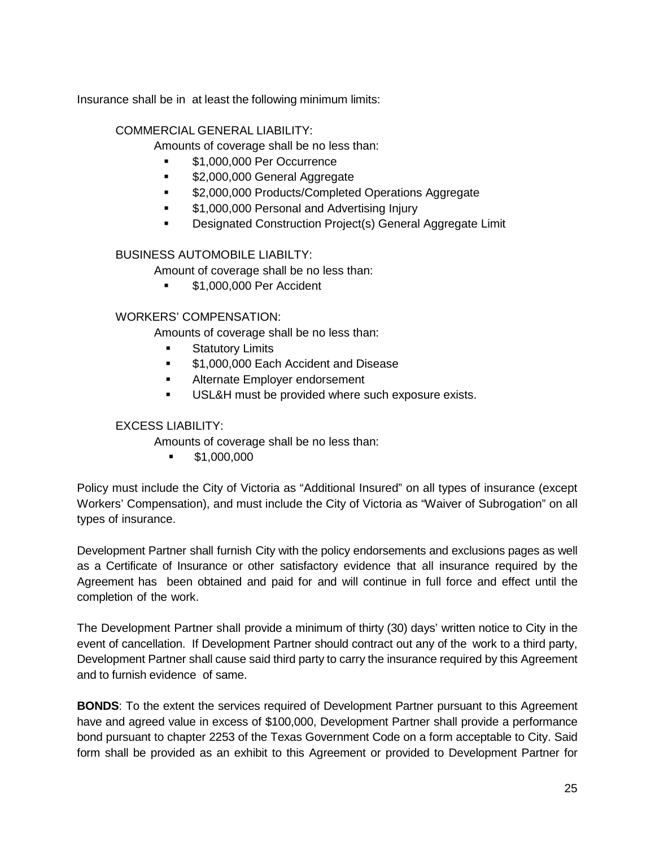Insurance shall be in at least the following minimum limits:

#### COMMERCIAL GENERAL LIABILITY:

Amounts of coverage shall be no less than:

- \$1,000,000 Per Occurrence
- **52,000,000 General Aggregate**
- \$2,000,000 Products/Completed Operations Aggregate
- **51,000,000 Personal and Advertising Injury**
- Designated Construction Project(s) General Aggregate Limit

#### BUSINESS AUTOMOBILE LIABILTY:

Amount of coverage shall be no less than:

**51,000,000 Per Accident** 

#### WORKERS' COMPENSATION:

Amounts of coverage shall be no less than:

- Statutory Limits
- **51,000,000 Each Accident and Disease**
- **Alternate Employer endorsement**
- **USL&H** must be provided where such exposure exists.

#### EXCESS LIABILITY:

Amounts of coverage shall be no less than:

 $\bullet$  \$1,000,000

Policy must include the City of Victoria as "Additional Insured" on all types of insurance (except Workers' Compensation), and must include the City of Victoria as "Waiver of Subrogation" on all types of insurance.

Development Partner shall furnish City with the policy endorsements and exclusions pages as well as a Certificate of Insurance or other satisfactory evidence that all insurance required by the Agreement has been obtained and paid for and will continue in full force and effect until the completion of the work.

The Development Partner shall provide a minimum of thirty (30) days' written notice to City in the event of cancellation. If Development Partner should contract out any of the work to a third party, Development Partner shall cause said third party to carry the insurance required by this Agreement and to furnish evidence of same.

**BONDS**: To the extent the services required of Development Partner pursuant to this Agreement have and agreed value in excess of \$100,000, Development Partner shall provide a performance bond pursuant to chapter 2253 of the Texas Government Code on a form acceptable to City. Said form shall be provided as an exhibit to this Agreement or provided to Development Partner for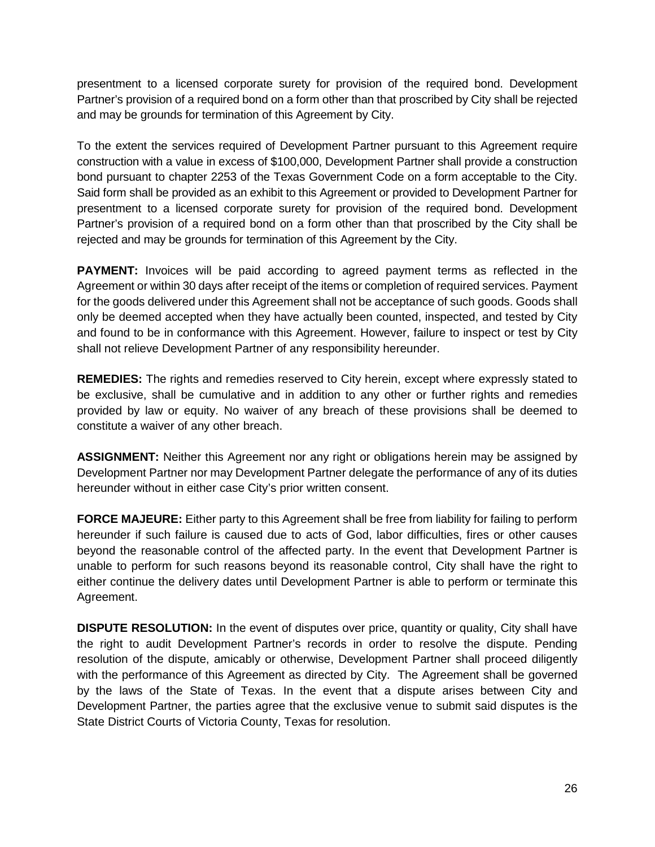presentment to a licensed corporate surety for provision of the required bond. Development Partner's provision of a required bond on a form other than that proscribed by City shall be rejected and may be grounds for termination of this Agreement by City.

To the extent the services required of Development Partner pursuant to this Agreement require construction with a value in excess of \$100,000, Development Partner shall provide a construction bond pursuant to chapter 2253 of the Texas Government Code on a form acceptable to the City. Said form shall be provided as an exhibit to this Agreement or provided to Development Partner for presentment to a licensed corporate surety for provision of the required bond. Development Partner's provision of a required bond on a form other than that proscribed by the City shall be rejected and may be grounds for termination of this Agreement by the City.

**PAYMENT:** Invoices will be paid according to agreed payment terms as reflected in the Agreement or within 30 days after receipt of the items or completion of required services. Payment for the goods delivered under this Agreement shall not be acceptance of such goods. Goods shall only be deemed accepted when they have actually been counted, inspected, and tested by City and found to be in conformance with this Agreement. However, failure to inspect or test by City shall not relieve Development Partner of any responsibility hereunder.

**REMEDIES:** The rights and remedies reserved to City herein, except where expressly stated to be exclusive, shall be cumulative and in addition to any other or further rights and remedies provided by law or equity. No waiver of any breach of these provisions shall be deemed to constitute a waiver of any other breach.

**ASSIGNMENT:** Neither this Agreement nor any right or obligations herein may be assigned by Development Partner nor may Development Partner delegate the performance of any of its duties hereunder without in either case City's prior written consent.

**FORCE MAJEURE:** Either party to this Agreement shall be free from liability for failing to perform hereunder if such failure is caused due to acts of God, labor difficulties, fires or other causes beyond the reasonable control of the affected party. In the event that Development Partner is unable to perform for such reasons beyond its reasonable control, City shall have the right to either continue the delivery dates until Development Partner is able to perform or terminate this Agreement.

**DISPUTE RESOLUTION:** In the event of disputes over price, quantity or quality, City shall have the right to audit Development Partner's records in order to resolve the dispute. Pending resolution of the dispute, amicably or otherwise, Development Partner shall proceed diligently with the performance of this Agreement as directed by City. The Agreement shall be governed by the laws of the State of Texas. In the event that a dispute arises between City and Development Partner, the parties agree that the exclusive venue to submit said disputes is the State District Courts of Victoria County, Texas for resolution.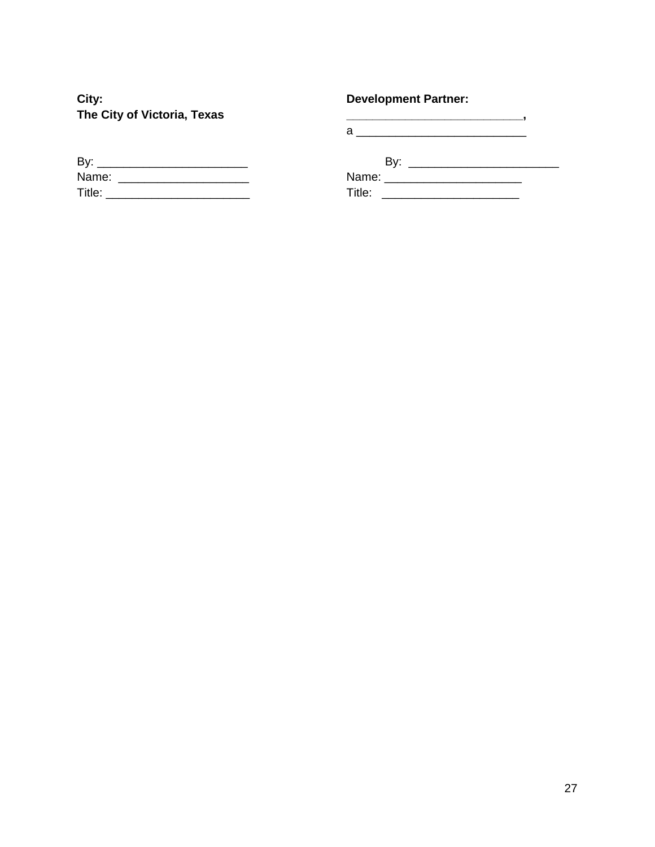City: The City of Victoria, Texas

# **Development Partner:**

| By:    |  |  |
|--------|--|--|
| Name:  |  |  |
| Title: |  |  |